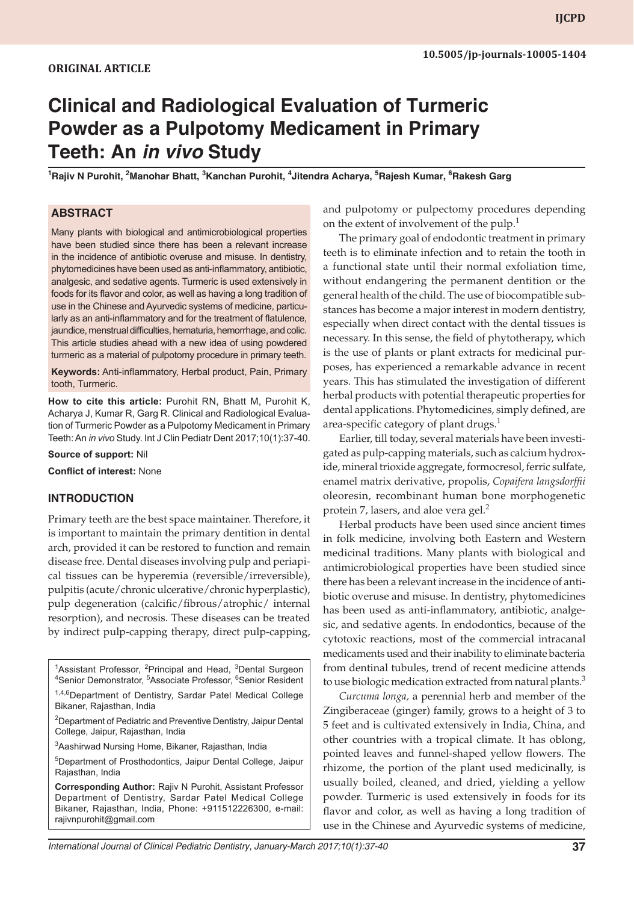# **Clinical and Radiological Evaluation of Turmeric Powder as a Pulpotomy Medicament in Primary Teeth: An** *in vivo* **Study**

**1 Rajiv N Purohit, 2 Manohar Bhatt, 3 Kanchan Purohit, 4 Jitendra Acharya, <sup>5</sup> Rajesh Kumar, <sup>6</sup> Rakesh Garg**

## **ABSTRACT**

Many plants with biological and antimicrobiological properties have been studied since there has been a relevant increase in the incidence of antibiotic overuse and misuse. In dentistry, phytomedicines have been used as anti-inflammatory, antibiotic, analgesic, and sedative agents. Turmeric is used extensively in foods for its flavor and color, as well as having a long tradition of use in the Chinese and Ayurvedic systems of medicine, particularly as an anti-inflammatory and for the treatment of flatulence, jaundice, menstrual difficulties, hematuria, hemorrhage, and colic. This article studies ahead with a new idea of using powdered turmeric as a material of pulpotomy procedure in primary teeth.

**Keywords:** Anti-inflammatory, Herbal product, Pain, Primary tooth, Turmeric.

**How to cite this article:** Purohit RN, Bhatt M, Purohit K, Acharya J, Kumar R, Garg R. Clinical and Radiological Evaluation of Turmeric Powder as a Pulpotomy Medicament in Primary Teeth: An *in vivo* Study. Int J Clin Pediatr Dent 2017;10(1):37-40.

**Source of support:** Nil

**Conflict of interest:** None

#### **INTRODUCTION**

Primary teeth are the best space maintainer. Therefore, it is important to maintain the primary dentition in dental arch, provided it can be restored to function and remain disease free. Dental diseases involving pulp and periapical tissues can be hyperemia (reversible/irreversible), pulpitis (acute/chronic ulcerative/chronic hyperplastic), pulp degeneration (calcific/fibrous/atrophic/ internal resorption), and necrosis. These diseases can be treated by indirect pulp-capping therapy, direct pulp-capping,

<sup>1</sup> Assistant Professor, <sup>2</sup> Principal and Head, <sup>3</sup> Dental Surgeon<br><sup>4</sup> Senior Demonstrator <sup>5</sup> Associate Professor, <sup>6</sup> Senior Pesident Senior Demonstrator, <sup>5</sup>Associate Professor, <sup>6</sup>Senior Resident 1,4,6 Department of Dentistry, Sardar Patel Medical College Bikaner, Rajasthan, India

<sup>2</sup>Department of Pediatric and Preventive Dentistry, Jaipur Dental College, Jaipur, Rajasthan, India

<sup>3</sup>Aashirwad Nursing Home, Bikaner, Rajasthan, India

5 Department of Prosthodontics, Jaipur Dental College, Jaipur Rajasthan, India

**Corresponding Author:** Rajiv N Purohit, Assistant Professor Department of Dentistry, Sardar Patel Medical College Bikaner, Rajasthan, India, Phone: +911512226300, e-mail: rajivnpurohit@gmail.com

and pulpotomy or pulpectomy procedures depending on the extent of involvement of the pulp. $<sup>1</sup>$ </sup>

The primary goal of endodontic treatment in primary teeth is to eliminate infection and to retain the tooth in a functional state until their normal exfoliation time, without endangering the permanent dentition or the general health of the child. The use of biocompatible substances has become a major interest in modern dentistry, especially when direct contact with the dental tissues is necessary. In this sense, the field of phytotherapy, which is the use of plants or plant extracts for medicinal purposes, has experienced a remarkable advance in recent years. This has stimulated the investigation of different herbal products with potential therapeutic properties for dental applications. Phytomedicines, simply defined, are area-specific category of plant drugs. $<sup>1</sup>$ </sup>

Earlier, till today, several materials have been investigated as pulp-capping materials, such as calcium hydroxide, mineral trioxide aggregate, formocresol, ferric sulfate, enamel matrix derivative, propolis, *Copaifera langsdorffii* oleoresin, recombinant human bone morphogenetic protein 7, lasers, and aloe vera gel.<sup>2</sup>

Herbal products have been used since ancient times in folk medicine, involving both Eastern and Western medicinal traditions. Many plants with biological and antimicrobiological properties have been studied since there has been a relevant increase in the incidence of antibiotic overuse and misuse. In dentistry, phytomedicines has been used as anti-inflammatory, antibiotic, analgesic, and sedative agents. In endodontics, because of the cytotoxic reactions, most of the commercial intracanal medicaments used and their inability to eliminate bacteria from dentinal tubules, trend of recent medicine attends to use biologic medication extracted from natural plants.<sup>3</sup>

*Curcuma longa,* a perennial herb and member of the Zingiberaceae (ginger) family, grows to a height of 3 to 5 feet and is cultivated extensively in India, China, and other countries with a tropical climate. It has oblong, pointed leaves and funnel-shaped yellow flowers. The rhizome, the portion of the plant used medicinally, is usually boiled, cleaned, and dried, yielding a yellow powder. Turmeric is used extensively in foods for its flavor and color, as well as having a long tradition of use in the Chinese and Ayurvedic systems of medicine,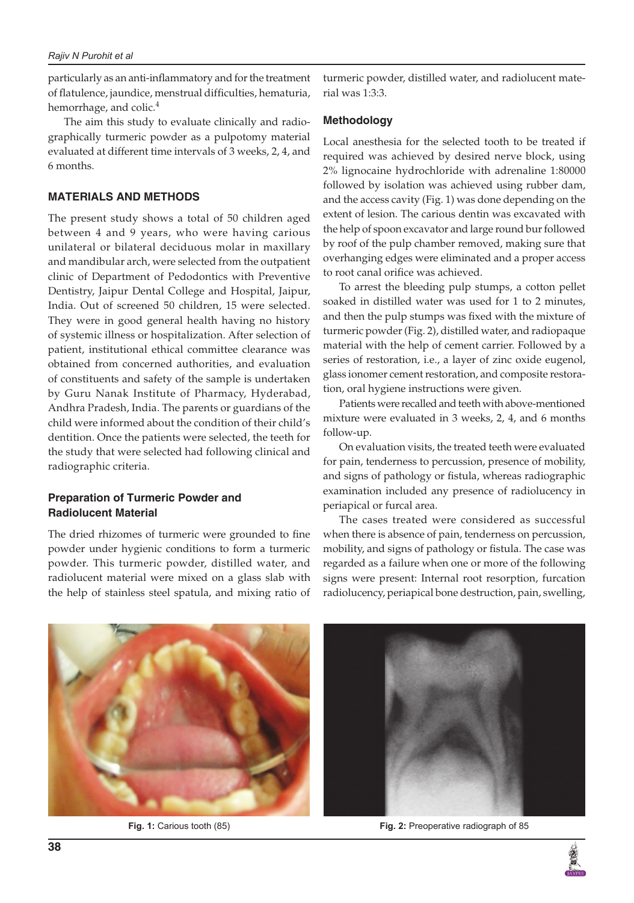particularly as an anti-inflammatory and for the treatment of flatulence, jaundice, menstrual difficulties, hematuria, hemorrhage, and colic.<sup>4</sup>

The aim this study to evaluate clinically and radiographically turmeric powder as a pulpotomy material evaluated at different time intervals of 3 weeks, 2, 4, and 6 months.

## **MATERIALS AND METHODS**

The present study shows a total of 50 children aged between 4 and 9 years, who were having carious unilateral or bilateral deciduous molar in maxillary and mandibular arch, were selected from the outpatient clinic of Department of Pedodontics with Preventive Dentistry, Jaipur Dental College and Hospital, Jaipur, India. Out of screened 50 children, 15 were selected. They were in good general health having no history of systemic illness or hospitalization. After selection of patient, institutional ethical committee clearance was obtained from concerned authorities, and evaluation of constituents and safety of the sample is undertaken by Guru Nanak Institute of Pharmacy, Hyderabad, Andhra Pradesh, India. The parents or guardians of the child were informed about the condition of their child's dentition. Once the patients were selected, the teeth for the study that were selected had following clinical and radiographic criteria.

## **Preparation of Turmeric Powder and Radiolucent Material**

The dried rhizomes of turmeric were grounded to fine powder under hygienic conditions to form a turmeric powder. This turmeric powder, distilled water, and radiolucent material were mixed on a glass slab with the help of stainless steel spatula, and mixing ratio of turmeric powder, distilled water, and radiolucent material was 1:3:3.

#### **Methodology**

Local anesthesia for the selected tooth to be treated if required was achieved by desired nerve block, using 2% lignocaine hydrochloride with adrenaline 1:80000 followed by isolation was achieved using rubber dam, and the access cavity (Fig. 1) was done depending on the extent of lesion. The carious dentin was excavated with the help of spoon excavator and large round bur followed by roof of the pulp chamber removed, making sure that overhanging edges were eliminated and a proper access to root canal orifice was achieved.

To arrest the bleeding pulp stumps, a cotton pellet soaked in distilled water was used for 1 to 2 minutes, and then the pulp stumps was fixed with the mixture of turmeric powder (Fig. 2), distilled water, and radiopaque material with the help of cement carrier. Followed by a series of restoration, i.e., a layer of zinc oxide eugenol, glass ionomer cement restoration, and composite restoration, oral hygiene instructions were given.

Patients were recalled and teeth with above-mentioned mixture were evaluated in 3 weeks, 2, 4, and 6 months follow-up.

On evaluation visits, the treated teeth were evaluated for pain, tenderness to percussion, presence of mobility, and signs of pathology or fistula, whereas radiographic examination included any presence of radiolucency in periapical or furcal area.

The cases treated were considered as successful when there is absence of pain, tenderness on percussion, mobility, and signs of pathology or fistula. The case was regarded as a failure when one or more of the following signs were present: Internal root resorption, furcation radiolucency, periapical bone destruction, pain, swelling,





**Fig. 1:** Carious tooth (85) **Fig. 2:** Preoperative radiograph of 85

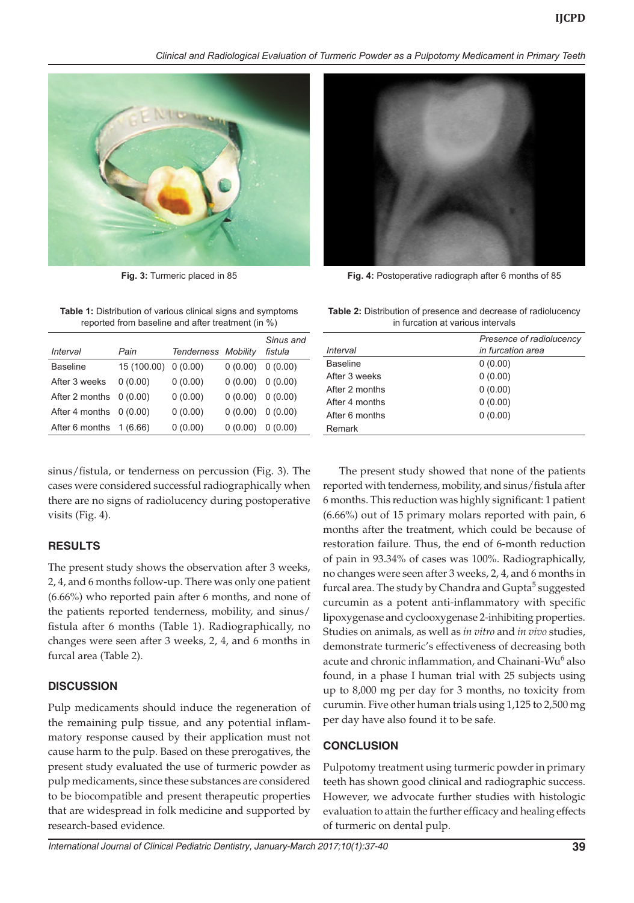*Clinical and Radiological Evaluation of Turmeric Powder as a Pulpotomy Medicament in Primary Teeth*



**Table 1:** Distribution of various clinical signs and symptoms reported from baseline and after treatment (in %)

| Interval        | Pain        | <b>Tenderness Mobility</b> |         | Sinus and<br>fistula |
|-----------------|-------------|----------------------------|---------|----------------------|
| <b>Baseline</b> | 15 (100.00) | 0(0.00)                    | 0(0.00) | 0(0.00)              |
| After 3 weeks   | 0(0.00)     | 0(0.00)                    | 0(0.00) | 0(0.00)              |
| After 2 months  | 0(0.00)     | 0(0.00)                    | 0(0.00) | 0(0.00)              |
| After 4 months  | 0(0.00)     | 0(0.00)                    | 0(0.00) | 0(0.00)              |
| After 6 months  | 1 (6.66)    | 0(0.00)                    | 0(0.00) | 0(0.00)              |
|                 |             |                            |         |                      |

sinus/fistula, or tenderness on percussion (Fig. 3). The cases were considered successful radiographically when there are no signs of radiolucency during postoperative visits (Fig. 4).

## **RESULTS**

The present study shows the observation after 3 weeks, 2, 4, and 6 months follow-up. There was only one patient (6.66%) who reported pain after 6 months, and none of the patients reported tenderness, mobility, and sinus/ fistula after 6 months (Table 1). Radiographically, no changes were seen after 3 weeks, 2, 4, and 6 months in furcal area (Table 2).

## **DISCUSSION**

Pulp medicaments should induce the regeneration of the remaining pulp tissue, and any potential inflammatory response caused by their application must not cause harm to the pulp. Based on these prerogatives, the present study evaluated the use of turmeric powder as pulp medicaments, since these substances are considered to be biocompatible and present therapeutic properties that are widespread in folk medicine and supported by research-based evidence.



**Fig. 3:** Turmeric placed in 85 **Fig. 4:** Postoperative radiograph after 6 months of 85

**Table 2:** Distribution of presence and decrease of radiolucency in furcation at various intervals

| Interval        | Presence of radiolucency<br>in furcation area |
|-----------------|-----------------------------------------------|
| <b>Baseline</b> | 0(0.00)                                       |
| After 3 weeks   | 0(0.00)                                       |
| After 2 months  | 0(0.00)                                       |
| After 4 months  | 0(0.00)                                       |
| After 6 months  | 0(0.00)                                       |
| Remark          |                                               |

The present study showed that none of the patients reported with tenderness, mobility, and sinus/fistula after 6 months. This reduction was highly significant: 1 patient (6.66%) out of 15 primary molars reported with pain, 6 months after the treatment, which could be because of restoration failure. Thus, the end of 6-month reduction of pain in 93.34% of cases was 100%. Radiographically, no changes were seen after 3 weeks, 2, 4, and 6 months in furcal area. The study by Chandra and Gupta<sup>5</sup> suggested curcumin as a potent anti-inflammatory with specific lipoxygenase and cyclooxygenase 2-inhibiting properties. Studies on animals, as well as *in vitro* and *in vivo* studies, demonstrate turmeric's effectiveness of decreasing both acute and chronic inflammation, and Chainani-Wu<sup>6</sup> also found, in a phase I human trial with 25 subjects using up to 8,000 mg per day for 3 months, no toxicity from curumin. Five other human trials using 1,125 to 2,500 mg per day have also found it to be safe.

## **CONCLUSION**

Pulpotomy treatment using turmeric powder in primary teeth has shown good clinical and radiographic success. However, we advocate further studies with histologic evaluation to attain the further efficacy and healing effects of turmeric on dental pulp.